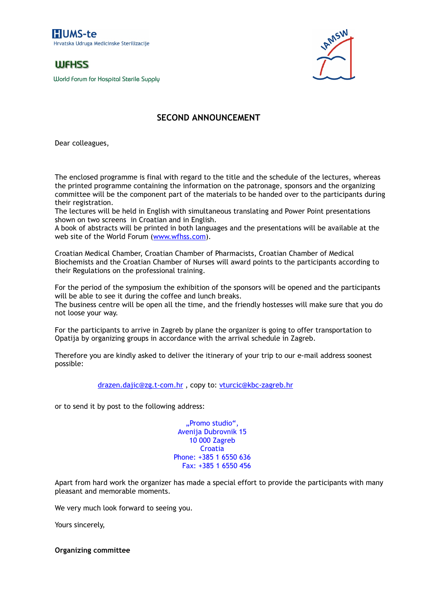**HUMS-te** Hrvatska Udruga Medicinske Sterilizacije

## **WFHSS**

*World Forum for Hospital Sterile Supply*



## **SECOND ANNOUNCEMENT**

Dear colleagues,

The enclosed programme is final with regard to the title and the schedule of the lectures, whereas the printed programme containing the information on the patronage, sponsors and the organizing committee will be the component part of the materials to be handed over to the participants during their registration.

The lectures will be held in English with simultaneous translating and Power Point presentations shown on two screens in Croatian and in English.

A book of abstracts will be printed in both languages and the presentations will be available at the web site of the World Forum (<u>www.wfhss.com</u>).

Croatian Medical Chamber, Croatian Chamber of Pharmacists, Croatian Chamber of Medical Biochemists and the Croatian Chamber of Nurses will award points to the participants according to their Regulations on the professional training.

For the period of the symposium the exhibition of the sponsors will be opened and the participants will be able to see it during the coffee and lunch breaks.

The business centre will be open all the time, and the friendly hostesses will make sure that you do not loose your way.

For the participants to arrive in Zagreb by plane the organizer is going to offer transportation to Opatija by organizing groups in accordance with the arrival schedule in Zagreb.

Therefore you are kindly asked to deliver the itinerary of your trip to our e-mail address soonest possible:

drazen.dajic@zg.t-com.hr, copy to: vturcic@kbc-zagreb.hr

or to send it by post to the following address:

"Promo studio", Avenija Dubrovnik 15 10 000 Zagreb Croatia Phone: +385 1 6550 636 Fax: +385 1 6550 456

Apart from hard work the organizer has made a special effort to provide the participants with many pleasant and memorable moments.

We very much look forward to seeing you.

Yours sincerely,

**Organizing committee**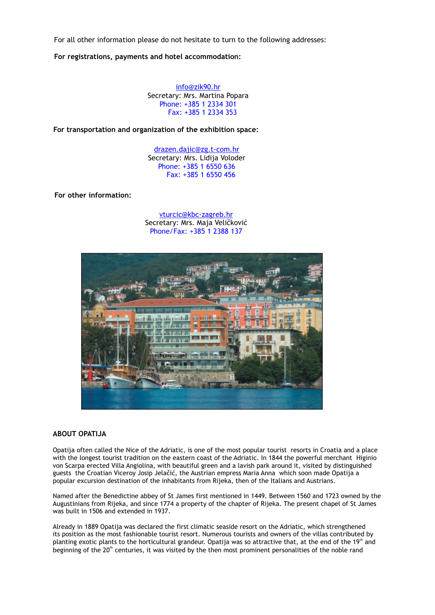For all other information please do not hesitate to turn to the following addresses:

**For registrations, payments and hotel accommodation:**

info@zik90.hr Phone: +385 1 2334 301 Fax: +385 1 2334 353 Secretary: Mrs. Martina Popara

**For transportation and organization of the exhibition space:**

drazen.dajic@zg.t-com.hr Phone: +385 1 6550 636 Fax: +385 1 6550 456 Secretary: Mrs. Lidija Voloder

**For other information:**

vturcic@kbc-zagreb.hr Phone/Fax: +385 1 2388 137 Secretary: Mrs. Maja Veličković



## **ABOUT OPATIJA**

Opatija often called the Nice of the Adriatic, is one of the most popular tourist resorts in Croatia and a place with the longest tourist tradition on the eastern coast of the Adriatic. In 1844 the powerful merchant Higinio von Scarpa erected Villa Angiolina, with beautiful green and a lavish park around it, visited by distinguished guests the Croatian Viceroy Josip Jelačić, the Austrian empress Maria Anna which soon made Opatija a popular excursion destination of the inhabitants from Rijeka, then of the Italians and Austrians.

Named after the Benedictine abbey of St James first mentioned in 1449. Between 1560 and 1723 owned by the Augustinians from Rijeka, and since 1774 a property of the chapter of Rijeka. The present chapel of St James was built in 1506 and extended in 1937.

Already in 1889 Opatija was declared the first climatic seaside resort on the Adriatic, which strengthened its position as the most fashionable tourist resort. Numerous tourists and owners of the villas contributed by planting exotic plants to the horticultural grandeur. Opatija was so attractive that, at the end of the 19<sup>th</sup> and beginning of the 20<sup>th</sup> centuries, it was visited by the then most prominent personalities of the noble rand